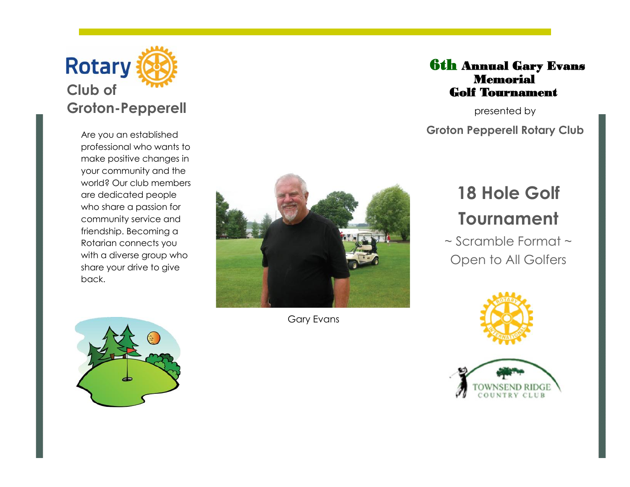

Are you an established professional who wants to make positive changes in your community and the world? Our club members are dedicated people who share a passion for community service and friendship. Becoming a Rotarian connects you with a diverse group who share your drive to give back.





Gary Evans

## 6**th Annual Gary Evans Memorial Golf Tournament**

presented by **Groton Pepperell Rotary Club**

# **18 Hole Golf Tournament**

~ Scramble Format ~ Open to All Golfers